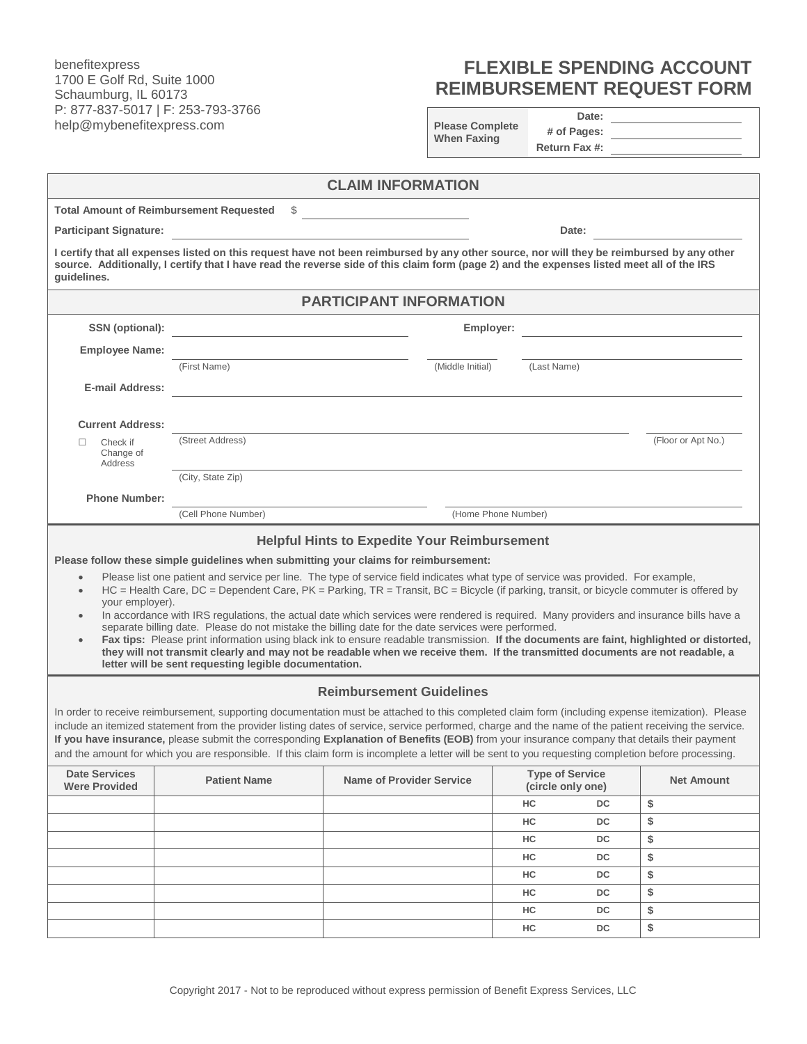benefitexpress 1700 E Golf Rd, Suite 1000 Schaumburg, IL 60173 P: 877-837-5017 | F: 253-793-3766 help@mybenefitexpress.com

## **FLEXIBLE SPENDING ACCOUNT REIMBURSEMENT REQUEST FORM**

| <b>Please Complete</b> |
|------------------------|
| <b>When Faxing</b>     |
|                        |

**Date: # of Pages:**

|                                                                                                                                                                                                                                                                                                                                                                                                                                                                                                                                                                                                                                                                                                                                                                                                                                                                                                                                                                                                              |                                                                                                                                                                                                                                                                                        |                                 |                                             | Return Fax #: |                    |  |  |  |
|--------------------------------------------------------------------------------------------------------------------------------------------------------------------------------------------------------------------------------------------------------------------------------------------------------------------------------------------------------------------------------------------------------------------------------------------------------------------------------------------------------------------------------------------------------------------------------------------------------------------------------------------------------------------------------------------------------------------------------------------------------------------------------------------------------------------------------------------------------------------------------------------------------------------------------------------------------------------------------------------------------------|----------------------------------------------------------------------------------------------------------------------------------------------------------------------------------------------------------------------------------------------------------------------------------------|---------------------------------|---------------------------------------------|---------------|--------------------|--|--|--|
| <b>CLAIM INFORMATION</b>                                                                                                                                                                                                                                                                                                                                                                                                                                                                                                                                                                                                                                                                                                                                                                                                                                                                                                                                                                                     |                                                                                                                                                                                                                                                                                        |                                 |                                             |               |                    |  |  |  |
|                                                                                                                                                                                                                                                                                                                                                                                                                                                                                                                                                                                                                                                                                                                                                                                                                                                                                                                                                                                                              | <b>Total Amount of Reimbursement Requested</b><br>S.                                                                                                                                                                                                                                   |                                 |                                             |               |                    |  |  |  |
| <b>Participant Signature:</b><br>Date:                                                                                                                                                                                                                                                                                                                                                                                                                                                                                                                                                                                                                                                                                                                                                                                                                                                                                                                                                                       |                                                                                                                                                                                                                                                                                        |                                 |                                             |               |                    |  |  |  |
| quidelines.                                                                                                                                                                                                                                                                                                                                                                                                                                                                                                                                                                                                                                                                                                                                                                                                                                                                                                                                                                                                  | I certify that all expenses listed on this request have not been reimbursed by any other source, nor will they be reimbursed by any other<br>source. Additionally, I certify that I have read the reverse side of this claim form (page 2) and the expenses listed meet all of the IRS |                                 |                                             |               |                    |  |  |  |
| <b>PARTICIPANT INFORMATION</b>                                                                                                                                                                                                                                                                                                                                                                                                                                                                                                                                                                                                                                                                                                                                                                                                                                                                                                                                                                               |                                                                                                                                                                                                                                                                                        |                                 |                                             |               |                    |  |  |  |
| SSN (optional):                                                                                                                                                                                                                                                                                                                                                                                                                                                                                                                                                                                                                                                                                                                                                                                                                                                                                                                                                                                              |                                                                                                                                                                                                                                                                                        | Employer:                       |                                             |               |                    |  |  |  |
| <b>Employee Name:</b>                                                                                                                                                                                                                                                                                                                                                                                                                                                                                                                                                                                                                                                                                                                                                                                                                                                                                                                                                                                        |                                                                                                                                                                                                                                                                                        |                                 |                                             |               |                    |  |  |  |
|                                                                                                                                                                                                                                                                                                                                                                                                                                                                                                                                                                                                                                                                                                                                                                                                                                                                                                                                                                                                              | (First Name)                                                                                                                                                                                                                                                                           | (Middle Initial)                | (Last Name)                                 |               |                    |  |  |  |
| <b>E-mail Address:</b>                                                                                                                                                                                                                                                                                                                                                                                                                                                                                                                                                                                                                                                                                                                                                                                                                                                                                                                                                                                       |                                                                                                                                                                                                                                                                                        |                                 |                                             |               |                    |  |  |  |
|                                                                                                                                                                                                                                                                                                                                                                                                                                                                                                                                                                                                                                                                                                                                                                                                                                                                                                                                                                                                              |                                                                                                                                                                                                                                                                                        |                                 |                                             |               |                    |  |  |  |
| <b>Current Address:</b>                                                                                                                                                                                                                                                                                                                                                                                                                                                                                                                                                                                                                                                                                                                                                                                                                                                                                                                                                                                      | (Street Address)                                                                                                                                                                                                                                                                       |                                 |                                             |               | (Floor or Apt No.) |  |  |  |
| Check if<br>П<br>Change of<br>Address                                                                                                                                                                                                                                                                                                                                                                                                                                                                                                                                                                                                                                                                                                                                                                                                                                                                                                                                                                        |                                                                                                                                                                                                                                                                                        |                                 |                                             |               |                    |  |  |  |
|                                                                                                                                                                                                                                                                                                                                                                                                                                                                                                                                                                                                                                                                                                                                                                                                                                                                                                                                                                                                              | (City, State Zip)                                                                                                                                                                                                                                                                      |                                 |                                             |               |                    |  |  |  |
| <b>Phone Number:</b>                                                                                                                                                                                                                                                                                                                                                                                                                                                                                                                                                                                                                                                                                                                                                                                                                                                                                                                                                                                         |                                                                                                                                                                                                                                                                                        |                                 |                                             |               |                    |  |  |  |
|                                                                                                                                                                                                                                                                                                                                                                                                                                                                                                                                                                                                                                                                                                                                                                                                                                                                                                                                                                                                              | (Cell Phone Number)                                                                                                                                                                                                                                                                    |                                 | (Home Phone Number)                         |               |                    |  |  |  |
| Please follow these simple guidelines when submitting your claims for reimbursement:<br>Please list one patient and service per line. The type of service field indicates what type of service was provided. For example,<br>$\bullet$<br>$HC =$ Health Care, DC = Dependent Care, PK = Parking, TR = Transit, BC = Bicycle (if parking, transit, or bicycle commuter is offered by<br>$\bullet$<br>your employer).<br>In accordance with IRS regulations, the actual date which services were rendered is required. Many providers and insurance bills have a<br>separate billing date. Please do not mistake the billing date for the date services were performed.<br>Fax tips: Please print information using black ink to ensure readable transmission. If the documents are faint, highlighted or distorted,<br>they will not transmit clearly and may not be readable when we receive them. If the transmitted documents are not readable, a<br>letter will be sent requesting legible documentation. |                                                                                                                                                                                                                                                                                        |                                 |                                             |               |                    |  |  |  |
| <b>Reimbursement Guidelines</b><br>In order to receive reimbursement, supporting documentation must be attached to this completed claim form (including expense itemization). Please<br>include an itemized statement from the provider listing dates of service, service performed, charge and the name of the patient receiving the service.<br>If you have insurance, please submit the corresponding Explanation of Benefits (EOB) from your insurance company that details their payment<br>and the amount for which you are responsible. If this claim form is incomplete a letter will be sent to you requesting completion before processing.                                                                                                                                                                                                                                                                                                                                                        |                                                                                                                                                                                                                                                                                        |                                 |                                             |               |                    |  |  |  |
| <b>Date Services</b><br><b>Were Provided</b>                                                                                                                                                                                                                                                                                                                                                                                                                                                                                                                                                                                                                                                                                                                                                                                                                                                                                                                                                                 | <b>Patient Name</b>                                                                                                                                                                                                                                                                    | <b>Name of Provider Service</b> | <b>Type of Service</b><br>(circle only one) |               | <b>Net Amount</b>  |  |  |  |
|                                                                                                                                                                                                                                                                                                                                                                                                                                                                                                                                                                                                                                                                                                                                                                                                                                                                                                                                                                                                              |                                                                                                                                                                                                                                                                                        |                                 | HC                                          | <b>DC</b>     | \$                 |  |  |  |
|                                                                                                                                                                                                                                                                                                                                                                                                                                                                                                                                                                                                                                                                                                                                                                                                                                                                                                                                                                                                              |                                                                                                                                                                                                                                                                                        |                                 | HC                                          | DC            | \$                 |  |  |  |
|                                                                                                                                                                                                                                                                                                                                                                                                                                                                                                                                                                                                                                                                                                                                                                                                                                                                                                                                                                                                              |                                                                                                                                                                                                                                                                                        |                                 | нc                                          | DC            | \$                 |  |  |  |
|                                                                                                                                                                                                                                                                                                                                                                                                                                                                                                                                                                                                                                                                                                                                                                                                                                                                                                                                                                                                              |                                                                                                                                                                                                                                                                                        |                                 | нc                                          | DC            | \$                 |  |  |  |
|                                                                                                                                                                                                                                                                                                                                                                                                                                                                                                                                                                                                                                                                                                                                                                                                                                                                                                                                                                                                              |                                                                                                                                                                                                                                                                                        |                                 | нc                                          | DC            | \$                 |  |  |  |
|                                                                                                                                                                                                                                                                                                                                                                                                                                                                                                                                                                                                                                                                                                                                                                                                                                                                                                                                                                                                              |                                                                                                                                                                                                                                                                                        |                                 | HC                                          | DC            | \$                 |  |  |  |
|                                                                                                                                                                                                                                                                                                                                                                                                                                                                                                                                                                                                                                                                                                                                                                                                                                                                                                                                                                                                              |                                                                                                                                                                                                                                                                                        |                                 | нc                                          | DC            | \$                 |  |  |  |
|                                                                                                                                                                                                                                                                                                                                                                                                                                                                                                                                                                                                                                                                                                                                                                                                                                                                                                                                                                                                              |                                                                                                                                                                                                                                                                                        |                                 | нc                                          | DC            | \$                 |  |  |  |